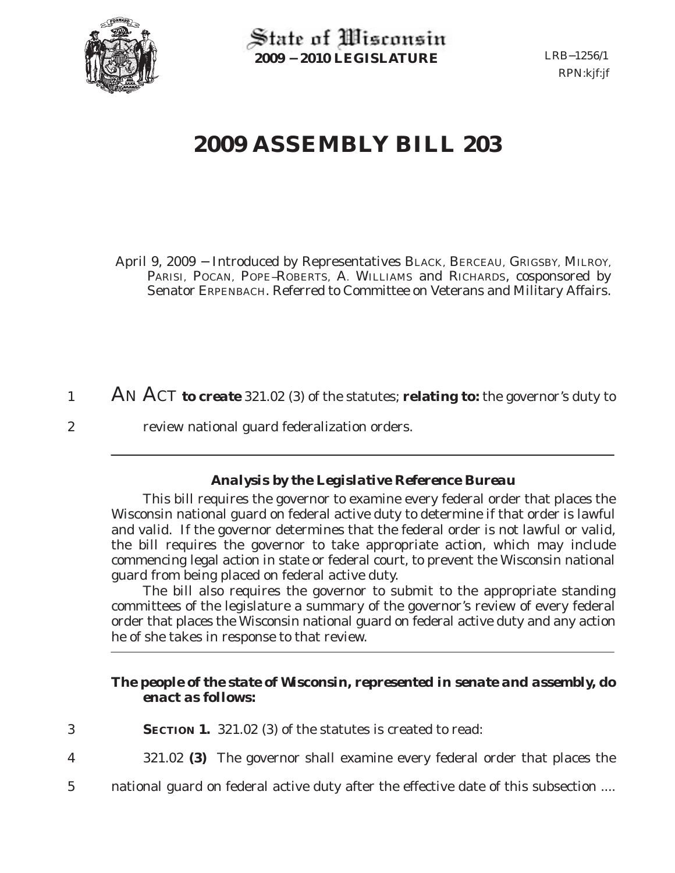

State of Wisconsin **2009 − 2010 LEGISLATURE**

# **2009 ASSEMBLY BILL 203**

April 9, 2009 − Introduced by Representatives BLACK, BERCEAU, GRIGSBY, MILROY, PARISI, POCAN, POPE−ROBERTS, A. WILLIAMS and RICHARDS, cosponsored by Senator ERPENBACH. Referred to Committee on Veterans and Military Affairs.

AN ACT *to create* 321.02 (3) of the statutes; **relating to:** the governor's duty to 1 2

review national guard federalization orders.

### *Analysis by the Legislative Reference Bureau*

This bill requires the governor to examine every federal order that places the Wisconsin national guard on federal active duty to determine if that order is lawful and valid. If the governor determines that the federal order is not lawful or valid, the bill requires the governor to take appropriate action, which may include commencing legal action in state or federal court, to prevent the Wisconsin national guard from being placed on federal active duty.

The bill also requires the governor to submit to the appropriate standing committees of the legislature a summary of the governor's review of every federal order that places the Wisconsin national guard on federal active duty and any action he of she takes in response to that review.

### *The people of the state of Wisconsin, represented in senate and assembly, do enact as follows:*

|                                           | <b>SECTION 1.</b> 321.02 (3) of the statutes is created to read: |  |  |
|-------------------------------------------|------------------------------------------------------------------|--|--|
| $\sim$ $\sim$ $\sim$ $\sim$ $\sim$ $\sim$ |                                                                  |  |  |

- 321.02 **(3)** The governor shall examine every federal order that places the 4
- national guard on federal active duty after the effective date of this subsection .... 5